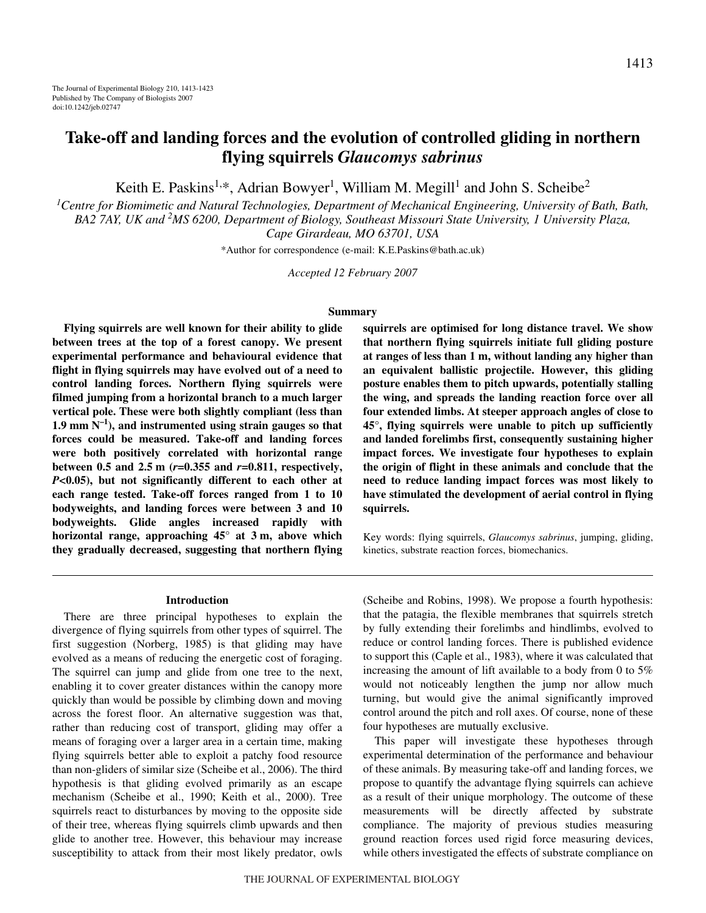# **Take-off and landing forces and the evolution of controlled gliding in northern flying squirrels** *Glaucomys sabrinus*

Keith E. Paskins<sup>1,\*</sup>, Adrian Bowyer<sup>1</sup>, William M. Megill<sup>1</sup> and John S. Scheibe<sup>2</sup>

*1 Centre for Biomimetic and Natural Technologies, Department of Mechanical Engineering, University of Bath, Bath, BA2 7AY, UK and 2 MS 6200, Department of Biology, Southeast Missouri State University, 1 University Plaza, Cape Girardeau, MO 63701, USA*

\*Author for correspondence (e-mail: K.E.Paskins@bath.ac.uk)

*Accepted 12 February 2007*

#### **Summary**

**Flying squirrels are well known for their ability to glide between trees at the top of a forest canopy. We present experimental performance and behavioural evidence that flight in flying squirrels may have evolved out of a need to control landing forces. Northern flying squirrels were filmed jumping from a horizontal branch to a much larger vertical pole. These were both slightly compliant (less than** 1.9 mm  $N^{-1}$ ), and instrumented using strain gauges so that **forces could be measured. Take-off and landing forces were both positively correlated with horizontal range between 0.5 and 2.5 m**  $(r=0.355$  and  $r=0.811$ , respectively, *P***<0.05), but not significantly different to each other at each range tested. Take-off forces ranged from 1 to 10 bodyweights, and landing forces were between 3 and 10 bodyweights. Glide angles increased rapidly with** horizontal range, approaching 45° at 3 m, above which **they gradually decreased, suggesting that northern flying** **squirrels are optimised for long distance travel. We show that northern flying squirrels initiate full gliding posture** at ranges of less than 1 m, without landing any higher than **an equivalent ballistic projectile. However, this gliding posture enables them to pitch upwards, potentially stalling the wing, and spreads the landing reaction force over all four extended limbs. At steeper approach angles of close to 45°, flying squirrels were unable to pitch up sufficiently and landed forelimbs first, consequently sustaining higher impact forces. We investigate four hypotheses to explain the origin of flight in these animals and conclude that the need to reduce landing impact forces was most likely to have stimulated the development of aerial control in flying squirrels.**

Key words: flying squirrels, *Glaucomys sabrinus*, jumping, gliding, kinetics, substrate reaction forces, biomechanics.

#### **Introduction**

There are three principal hypotheses to explain the divergence of flying squirrels from other types of squirrel. The first suggestion (Norberg, 1985) is that gliding may have evolved as a means of reducing the energetic cost of foraging. The squirrel can jump and glide from one tree to the next, enabling it to cover greater distances within the canopy more quickly than would be possible by climbing down and moving across the forest floor. An alternative suggestion was that, rather than reducing cost of transport, gliding may offer a means of foraging over a larger area in a certain time, making flying squirrels better able to exploit a patchy food resource than non-gliders of similar size (Scheibe et al., 2006). The third hypothesis is that gliding evolved primarily as an escape mechanism (Scheibe et al., 1990; Keith et al., 2000). Tree squirrels react to disturbances by moving to the opposite side of their tree, whereas flying squirrels climb upwards and then glide to another tree. However, this behaviour may increase susceptibility to attack from their most likely predator, owls (Scheibe and Robins, 1998). We propose a fourth hypothesis: that the patagia, the flexible membranes that squirrels stretch by fully extending their forelimbs and hindlimbs, evolved to reduce or control landing forces. There is published evidence to support this (Caple et al., 1983), where it was calculated that increasing the amount of lift available to a body from 0 to 5% would not noticeably lengthen the jump nor allow much turning, but would give the animal significantly improved control around the pitch and roll axes. Of course, none of these four hypotheses are mutually exclusive.

This paper will investigate these hypotheses through experimental determination of the performance and behaviour of these animals. By measuring take-off and landing forces, we propose to quantify the advantage flying squirrels can achieve as a result of their unique morphology. The outcome of these measurements will be directly affected by substrate compliance. The majority of previous studies measuring ground reaction forces used rigid force measuring devices, while others investigated the effects of substrate compliance on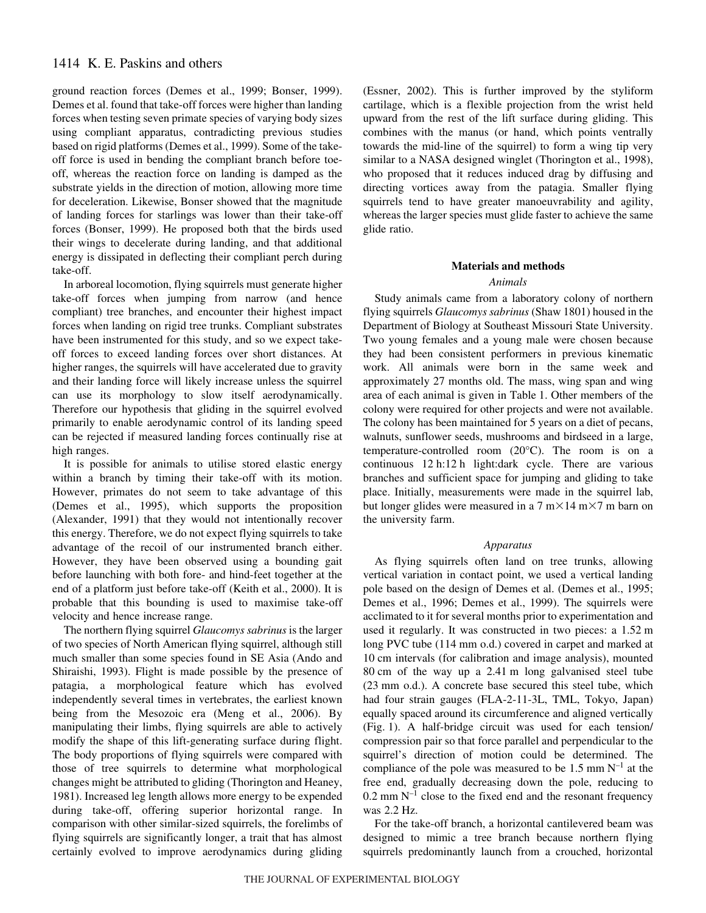ground reaction forces (Demes et al., 1999; Bonser, 1999). Demes et al. found that take-off forces were higher than landing forces when testing seven primate species of varying body sizes using compliant apparatus, contradicting previous studies based on rigid platforms (Demes et al., 1999). Some of the takeoff force is used in bending the compliant branch before toeoff, whereas the reaction force on landing is damped as the substrate yields in the direction of motion, allowing more time for deceleration. Likewise, Bonser showed that the magnitude of landing forces for starlings was lower than their take-off forces (Bonser, 1999). He proposed both that the birds used their wings to decelerate during landing, and that additional energy is dissipated in deflecting their compliant perch during take-off.

In arboreal locomotion, flying squirrels must generate higher take-off forces when jumping from narrow (and hence compliant) tree branches, and encounter their highest impact forces when landing on rigid tree trunks. Compliant substrates have been instrumented for this study, and so we expect takeoff forces to exceed landing forces over short distances. At higher ranges, the squirrels will have accelerated due to gravity and their landing force will likely increase unless the squirrel can use its morphology to slow itself aerodynamically. Therefore our hypothesis that gliding in the squirrel evolved primarily to enable aerodynamic control of its landing speed can be rejected if measured landing forces continually rise at high ranges.

It is possible for animals to utilise stored elastic energy within a branch by timing their take-off with its motion. However, primates do not seem to take advantage of this (Demes et al., 1995), which supports the proposition (Alexander, 1991) that they would not intentionally recover this energy. Therefore, we do not expect flying squirrels to take advantage of the recoil of our instrumented branch either. However, they have been observed using a bounding gait before launching with both fore- and hind-feet together at the end of a platform just before take-off (Keith et al., 2000). It is probable that this bounding is used to maximise take-off velocity and hence increase range.

The northern flying squirrel *Glaucomys sabrinus* is the larger of two species of North American flying squirrel, although still much smaller than some species found in SE Asia (Ando and Shiraishi, 1993). Flight is made possible by the presence of patagia, a morphological feature which has evolved independently several times in vertebrates, the earliest known being from the Mesozoic era (Meng et al., 2006). By manipulating their limbs, flying squirrels are able to actively modify the shape of this lift-generating surface during flight. The body proportions of flying squirrels were compared with those of tree squirrels to determine what morphological changes might be attributed to gliding (Thorington and Heaney, 1981). Increased leg length allows more energy to be expended during take-off, offering superior horizontal range. In comparison with other similar-sized squirrels, the forelimbs of flying squirrels are significantly longer, a trait that has almost certainly evolved to improve aerodynamics during gliding (Essner, 2002). This is further improved by the styliform cartilage, which is a flexible projection from the wrist held upward from the rest of the lift surface during gliding. This combines with the manus (or hand, which points ventrally towards the mid-line of the squirrel) to form a wing tip very similar to a NASA designed winglet (Thorington et al., 1998), who proposed that it reduces induced drag by diffusing and directing vortices away from the patagia. Smaller flying squirrels tend to have greater manoeuvrability and agility, whereas the larger species must glide faster to achieve the same glide ratio.

#### **Materials and methods**

#### *Animals*

Study animals came from a laboratory colony of northern flying squirrels *Glaucomys sabrinus* (Shaw 1801) housed in the Department of Biology at Southeast Missouri State University. Two young females and a young male were chosen because they had been consistent performers in previous kinematic work. All animals were born in the same week and approximately 27 months old. The mass, wing span and wing area of each animal is given in Table 1. Other members of the colony were required for other projects and were not available. The colony has been maintained for 5 years on a diet of pecans, walnuts, sunflower seeds, mushrooms and birdseed in a large, temperature-controlled room (20°C). The room is on a continuous 12 h:12 h light:dark cycle. There are various branches and sufficient space for jumping and gliding to take place. Initially, measurements were made in the squirrel lab, but longer glides were measured in a  $7 \text{ m} \times 14 \text{ m} \times 7 \text{ m}$  barn on the university farm.

#### *Apparatus*

As flying squirrels often land on tree trunks, allowing vertical variation in contact point, we used a vertical landing pole based on the design of Demes et al. (Demes et al., 1995; Demes et al., 1996; Demes et al., 1999). The squirrels were acclimated to it for several months prior to experimentation and used it regularly. It was constructed in two pieces: a 1.52 m long PVC tube (114 mm o.d.) covered in carpet and marked at 10 cm intervals (for calibration and image analysis), mounted  $80 \text{ cm}$  of the way up a 2.41 m long galvanised steel tube (23 mm o.d.). A concrete base secured this steel tube, which had four strain gauges (FLA-2-11-3L, TML, Tokyo, Japan) equally spaced around its circumference and aligned vertically  $(Fig. 1)$ . A half-bridge circuit was used for each tension compression pair so that force parallel and perpendicular to the squirrel's direction of motion could be determined. The compliance of the pole was measured to be 1.5 mm  $N^{-1}$  at the free end, gradually decreasing down the pole, reducing to  $0.2~\text{mm}~\text{N}^{-1}$  close to the fixed end and the resonant frequency was 2.2 Hz.

For the take-off branch, a horizontal cantilevered beam was designed to mimic a tree branch because northern flying squirrels predominantly launch from a crouched, horizontal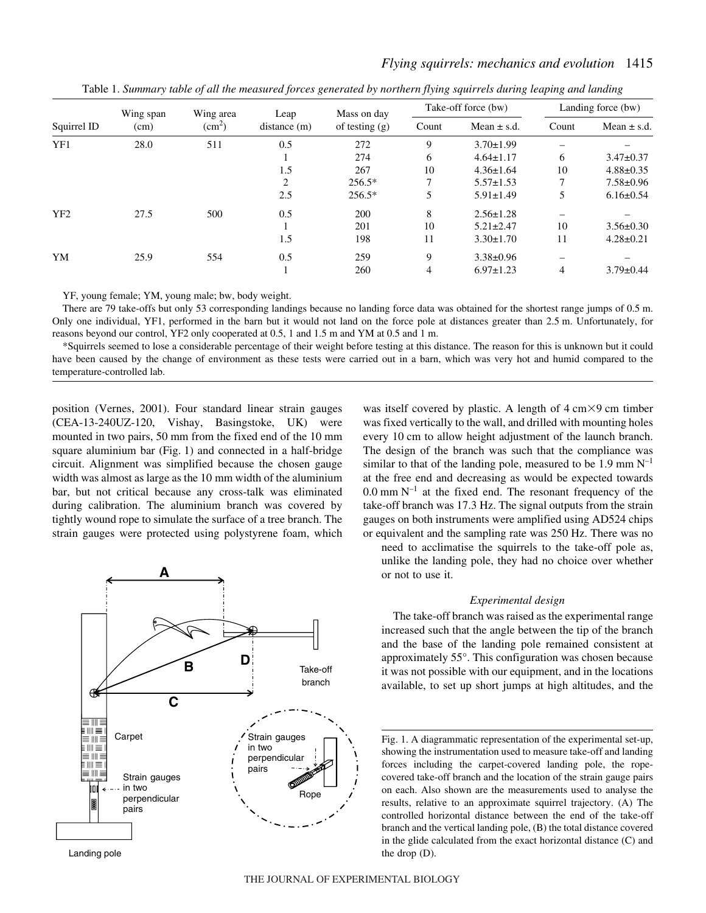| Squirrel ID     | Wing span<br>(cm) | Wing area<br>(cm <sup>2</sup> ) | Leap<br>distance(m) | Mass on day<br>of testing $(g)$ | Take-off force (bw) |                 | Landing force (bw) |                 |
|-----------------|-------------------|---------------------------------|---------------------|---------------------------------|---------------------|-----------------|--------------------|-----------------|
|                 |                   |                                 |                     |                                 | Count               | Mean $\pm$ s.d. | Count              | Mean $\pm$ s.d. |
| YF1             | 28.0              | 511                             | 0.5                 | 272                             | 9                   | $3.70 \pm 1.99$ |                    |                 |
|                 |                   |                                 |                     | 274                             | 6                   | $4.64 \pm 1.17$ | 6                  | $3.47 \pm 0.37$ |
|                 |                   |                                 | 1.5                 | 267                             | 10                  | $4.36 \pm 1.64$ | 10                 | $4.88 \pm 0.35$ |
|                 |                   |                                 | $\overline{c}$      | $256.5*$                        | $\mathcal{I}$       | $5.57 \pm 1.53$ | 7                  | $7.58 \pm 0.96$ |
|                 |                   |                                 | 2.5                 | $256.5*$                        | 5                   | $5.91 \pm 1.49$ | 5                  | $6.16 \pm 0.54$ |
| YF <sub>2</sub> | 27.5              | 500                             | 0.5                 | 200                             | 8                   | $2.56 \pm 1.28$ |                    |                 |
|                 |                   |                                 |                     | 201                             | 10                  | $5.21 \pm 2.47$ | 10                 | $3.56 \pm 0.30$ |
|                 |                   |                                 | 1.5                 | 198                             | 11                  | $3.30 \pm 1.70$ | 11                 | $4.28 \pm 0.21$ |
| YM              | 25.9              | 554                             | 0.5                 | 259                             | 9                   | $3.38 \pm 0.96$ |                    |                 |
|                 |                   |                                 |                     | 260                             | 4                   | $6.97 \pm 1.23$ | 4                  | $3.79 \pm 0.44$ |

Table 1. Summary table of all the measured forces generated by northern flying squirrels during leaping and landing

*Flying squirrels: mechanics and evolution* 1415

YF, young female; YM, young male; bw, body weight.

There are 79 take-offs but only 53 corresponding landings because no landing force data was obtained for the shortest range jumps of 0.5 m. Only one individual, YF1, performed in the barn but it would not land on the force pole at distances greater than 2.5 m. Unfortunately, for reasons beyond our control, YF2 only cooperated at 0.5, 1 and 1.5 m and YM at 0.5 and 1 m.

\*Squirrels seemed to lose a considerable percentage of their weight before testing at this distance. The reason for this is unknown but it could have been caused by the change of environment as these tests were carried out in a barn, which was very hot and humid compared to the temperature-controlled lab.

position (Vernes, 2001). Four standard linear strain gauges (CEA-13-240UZ-120, Vishay, Basingstoke, UK) were mounted in two pairs, 50 mm from the fixed end of the 10 mm square aluminium bar  $(Fig. 1)$  and connected in a half-bridge circuit. Alignment was simplified because the chosen gauge width was almost as large as the 10 mm width of the aluminium bar, but not critical because any cross-talk was eliminated during calibration. The aluminium branch was covered by tightly wound rope to simulate the surface of a tree branch. The strain gauges were protected using polystyrene foam, which



Landing pole

was itself covered by plastic. A length of  $4 \text{ cm} \times 9 \text{ cm}$  timber was fixed vertically to the wall, and drilled with mounting holes every 10 cm to allow height adjustment of the launch branch. The design of the branch was such that the compliance was similar to that of the landing pole, measured to be 1.9 mm  $N^{-1}$ at the free end and decreasing as would be expected towards  $0.0~\text{mm}~\text{N}^{-1}$  at the fixed end. The resonant frequency of the take-off branch was 17.3 Hz. The signal outputs from the strain gauges on both instruments were amplified using AD524 chips or equivalent and the sampling rate was 250 Hz. There was no

need to acclimatise the squirrels to the take-off pole as, unlike the landing pole, they had no choice over whether or not to use it.

## *Experimental design*

The take-off branch was raised as the experimental range increased such that the angle between the tip of the branch and the base of the landing pole remained consistent at approximately 55°. This configuration was chosen because it was not possible with our equipment, and in the locations available, to set up short jumps at high altitudes, and the

Fig. 1. A diagrammatic representation of the experimental set-up, showing the instrumentation used to measure take-off and landing forces including the carpet-covered landing pole, the ropecovered take-off branch and the location of the strain gauge pairs on each. Also shown are the measurements used to analyse the results, relative to an approximate squirrel trajectory. (A) The controlled horizontal distance between the end of the take-off branch and the vertical landing pole, (B) the total distance covered in the glide calculated from the exact horizontal distance (C) and the drop (D).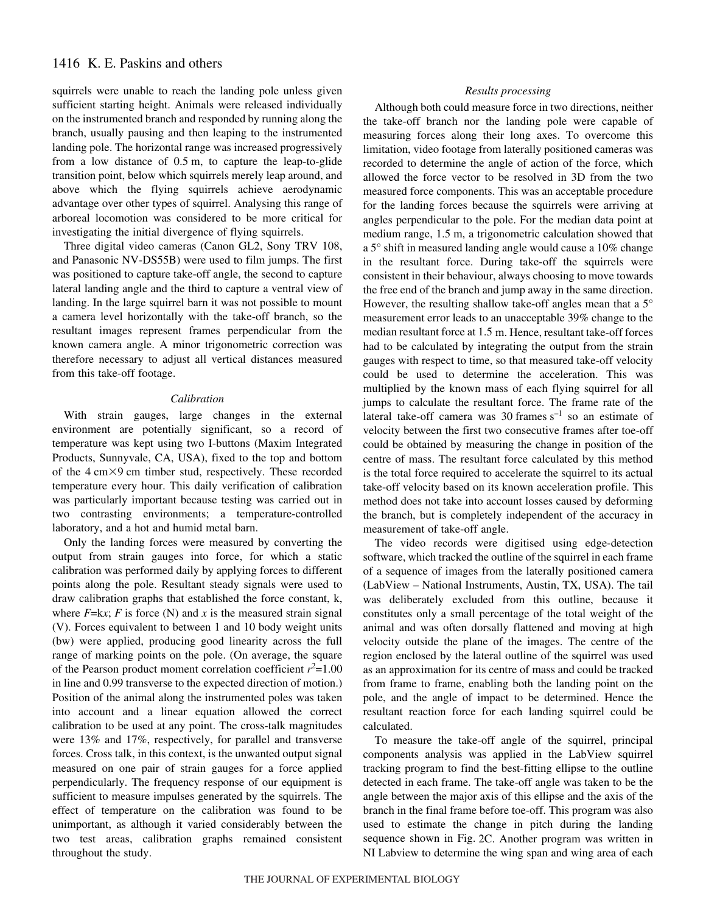squirrels were unable to reach the landing pole unless given sufficient starting height. Animals were released individually on the instrumented branch and responded by running along the branch, usually pausing and then leaping to the instrumented landing pole. The horizontal range was increased progressively from a low distance of  $0.5 \text{ m}$ , to capture the leap-to-glide transition point, below which squirrels merely leap around, and above which the flying squirrels achieve aerodynamic advantage over other types of squirrel. Analysing this range of arboreal locomotion was considered to be more critical for investigating the initial divergence of flying squirrels.

Three digital video cameras (Canon GL2, Sony TRV 108, and Panasonic NV-DS55B) were used to film jumps. The first was positioned to capture take-off angle, the second to capture lateral landing angle and the third to capture a ventral view of landing. In the large squirrel barn it was not possible to mount a camera level horizontally with the take-off branch, so the resultant images represent frames perpendicular from the known camera angle. A minor trigonometric correction was therefore necessary to adjust all vertical distances measured from this take-off footage.

## *Calibration*

With strain gauges, large changes in the external environment are potentially significant, so a record of temperature was kept using two I-buttons (Maxim Integrated Products, Sunnyvale, CA, USA), fixed to the top and bottom of the 4 cm×9 cm timber stud, respectively. These recorded temperature every hour. This daily verification of calibration was particularly important because testing was carried out in two contrasting environments; a temperature-controlled laboratory, and a hot and humid metal barn.

Only the landing forces were measured by converting the output from strain gauges into force, for which a static calibration was performed daily by applying forces to different points along the pole. Resultant steady signals were used to draw calibration graphs that established the force constant, k, where  $F=\mathbf{k}x$ ;  $F$  is force (N) and  $x$  is the measured strain signal (V). Forces equivalent to between 1 and 10 body weight units (bw) were applied, producing good linearity across the full range of marking points on the pole. (On average, the square of the Pearson product moment correlation coefficient  $r^2$ =1.00 in line and 0.99 transverse to the expected direction of motion.) Position of the animal along the instrumented poles was taken into account and a linear equation allowed the correct calibration to be used at any point. The cross-talk magnitudes were 13% and 17%, respectively, for parallel and transverse forces. Cross talk, in this context, is the unwanted output signal measured on one pair of strain gauges for a force applied perpendicularly. The frequency response of our equipment is sufficient to measure impulses generated by the squirrels. The effect of temperature on the calibration was found to be unimportant, as although it varied considerably between the two test areas, calibration graphs remained consistent throughout the study.

#### *Results processing*

Although both could measure force in two directions, neither the take-off branch nor the landing pole were capable of measuring forces along their long axes. To overcome this limitation, video footage from laterally positioned cameras was recorded to determine the angle of action of the force, which allowed the force vector to be resolved in 3D from the two measured force components. This was an acceptable procedure for the landing forces because the squirrels were arriving at angles perpendicular to the pole. For the median data point at medium range, 1.5 m, a trigonometric calculation showed that a 5° shift in measured landing angle would cause a 10% change in the resultant force. During take-off the squirrels were consistent in their behaviour, always choosing to move towards the free end of the branch and jump away in the same direction. However, the resulting shallow take-off angles mean that a 5° measurement error leads to an unacceptable 39% change to the median resultant force at 1.5 m. Hence, resultant take-off forces had to be calculated by integrating the output from the strain gauges with respect to time, so that measured take-off velocity could be used to determine the acceleration. This was multiplied by the known mass of each flying squirrel for all jumps to calculate the resultant force. The frame rate of the lateral take-off camera was 30 frames  $s^{-1}$  so an estimate of velocity between the first two consecutive frames after toe-off could be obtained by measuring the change in position of the centre of mass. The resultant force calculated by this method is the total force required to accelerate the squirrel to its actual take-off velocity based on its known acceleration profile. This method does not take into account losses caused by deforming the branch, but is completely independent of the accuracy in measurement of take-off angle.

The video records were digitised using edge-detection software, which tracked the outline of the squirrel in each frame of a sequence of images from the laterally positioned camera (LabView – National Instruments, Austin, TX, USA). The tail was deliberately excluded from this outline, because it constitutes only a small percentage of the total weight of the animal and was often dorsally flattened and moving at high velocity outside the plane of the images. The centre of the region enclosed by the lateral outline of the squirrel was used as an approximation for its centre of mass and could be tracked from frame to frame, enabling both the landing point on the pole, and the angle of impact to be determined. Hence the resultant reaction force for each landing squirrel could be calculated.

To measure the take-off angle of the squirrel, principal components analysis was applied in the LabView squirrel tracking program to find the best-fitting ellipse to the outline detected in each frame. The take-off angle was taken to be the angle between the major axis of this ellipse and the axis of the branch in the final frame before toe-off. This program was also used to estimate the change in pitch during the landing sequence shown in Fig. 2C. Another program was written in NI Labview to determine the wing span and wing area of each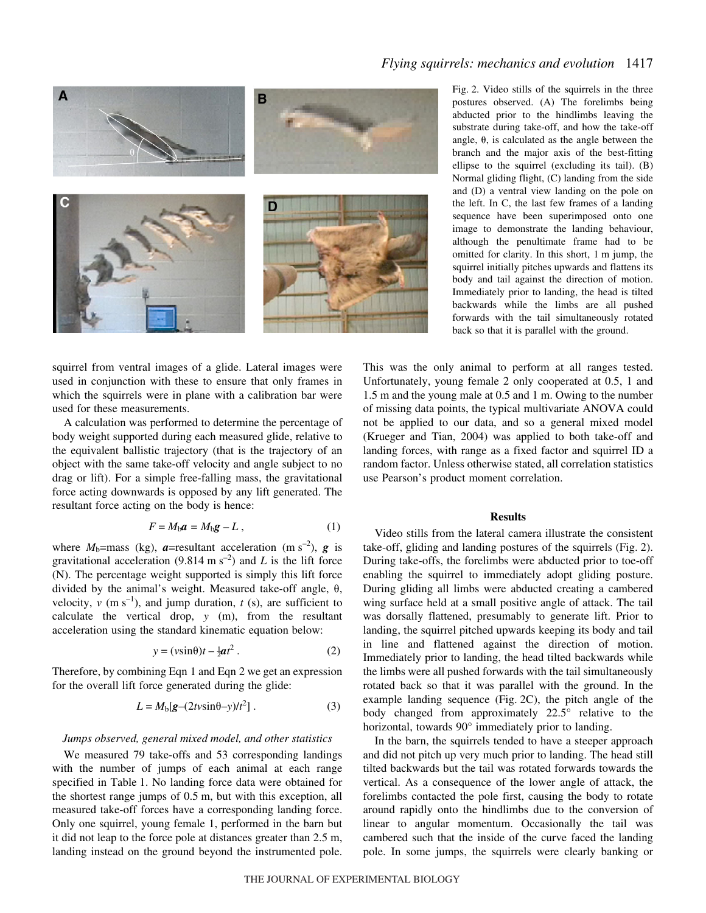

*Flying squirrels: mechanics and evolution* 1417

Fig. 2. Video stills of the squirrels in the three postures observed. (A) The forelimbs being abducted prior to the hindlimbs leaving the substrate during take-off, and how the take-off angle,  $\theta$ , is calculated as the angle between the branch and the major axis of the best-fitting ellipse to the squirrel (excluding its tail). (B) Normal gliding flight, (C) landing from the side and (D) a ventral view landing on the pole on the left. In C, the last few frames of a landing sequence have been superimposed onto one image to demonstrate the landing behaviour, although the penultimate frame had to be omitted for clarity. In this short, 1 m jump, the squirrel initially pitches upwards and flattens its body and tail against the direction of motion. Immediately prior to landing, the head is tilted backwards while the limbs are all pushed forwards with the tail simultaneously rotated back so that it is parallel with the ground.

squirrel from ventral images of a glide. Lateral images were used in conjunction with these to ensure that only frames in which the squirrels were in plane with a calibration bar were used for these measurements.

A calculation was performed to determine the percentage of body weight supported during each measured glide, relative to the equivalent ballistic trajectory (that is the trajectory of an object with the same take-off velocity and angle subject to no drag or lift). For a simple free-falling mass, the gravitational force acting downwards is opposed by any lift generated. The resultant force acting on the body is hence:

$$
F = M_{\rm b}a = M_{\rm b}g - L\,,\tag{1}
$$

where  $M_b$ =mass (kg),  $\boldsymbol{a}$ =resultant acceleration (m s<sup>-2</sup>),  $\boldsymbol{g}$  is gravitational acceleration (9.814 m s<sup>-2</sup>) and *L* is the lift force (N). The percentage weight supported is simply this lift force divided by the animal's weight. Measured take-off angle,  $\theta$ , velocity,  $v$  (m s<sup>-1</sup>), and jump duration,  $t$  (s), are sufficient to calculate the vertical drop, *y* (m), from the resultant acceleration using the standard kinematic equation below:

$$
y = (v\sin\theta)t - \frac{1}{2}at^2.
$$
 (2)

Therefore, by combining Eqn 1 and Eqn 2 we get an expression for the overall lift force generated during the glide:

$$
L = Mb[g-(2tv\sin\theta-y)/t2].
$$
 (3)

#### *Jumps observed, general mixed model, and other statistics*

We measured 79 take-offs and 53 corresponding landings with the number of jumps of each animal at each range specified in Table 1. No landing force data were obtained for the shortest range jumps of 0.5 m, but with this exception, all measured take-off forces have a corresponding landing force. Only one squirrel, young female 1, performed in the barn but it did not leap to the force pole at distances greater than 2.5 m, landing instead on the ground beyond the instrumented pole. This was the only animal to perform at all ranges tested. Unfortunately, young female 2 only cooperated at 0.5, 1 and 1.5 m and the young male at 0.5 and 1 m. Owing to the number of missing data points, the typical multivariate ANOVA could not be applied to our data, and so a general mixed model (Krueger and Tian, 2004) was applied to both take-off and landing forces, with range as a fixed factor and squirrel ID a random factor. Unless otherwise stated, all correlation statistics use Pearson's product moment correlation.

### **Results**

Video stills from the lateral camera illustrate the consistent take-off, gliding and landing postures of the squirrels (Fig. 2). During take-offs, the forelimbs were abducted prior to toe-off enabling the squirrel to immediately adopt gliding posture. During gliding all limbs were abducted creating a cambered wing surface held at a small positive angle of attack. The tail was dorsally flattened, presumably to generate lift. Prior to landing, the squirrel pitched upwards keeping its body and tail in line and flattened against the direction of motion. Immediately prior to landing, the head tilted backwards while the limbs were all pushed forwards with the tail simultaneously rotated back so that it was parallel with the ground. In the example landing sequence (Fig.  $2C$ ), the pitch angle of the body changed from approximately 22.5° relative to the horizontal, towards 90° immediately prior to landing.

In the barn, the squirrels tended to have a steeper approach and did not pitch up very much prior to landing. The head still tilted backwards but the tail was rotated forwards towards the vertical. As a consequence of the lower angle of attack, the forelimbs contacted the pole first, causing the body to rotate around rapidly onto the hindlimbs due to the conversion of linear to angular momentum. Occasionally the tail was cambered such that the inside of the curve faced the landing pole. In some jumps, the squirrels were clearly banking or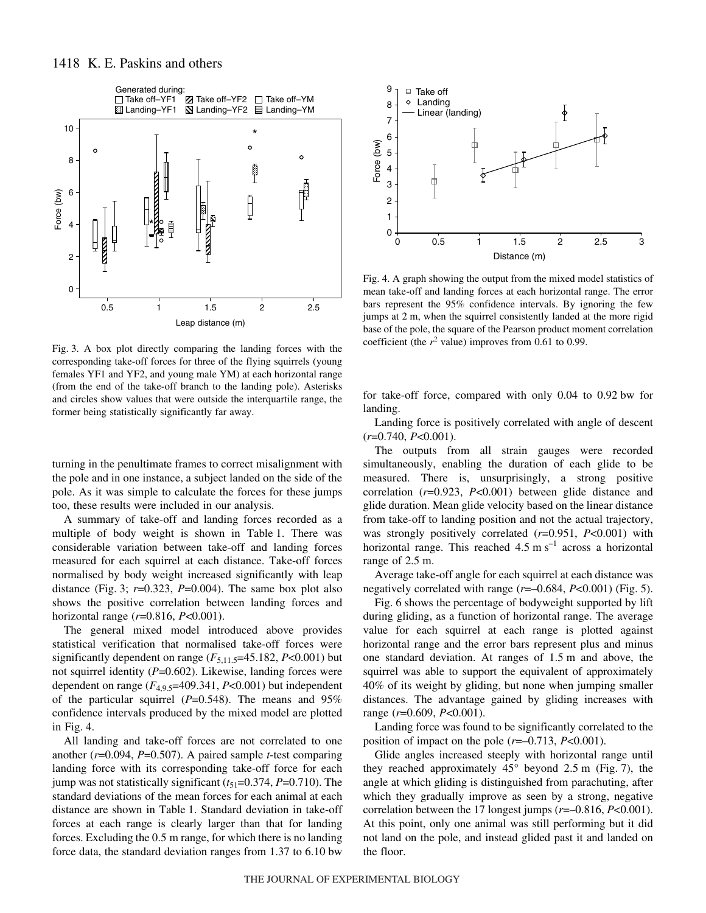

Fig. 3. A box plot directly comparing the landing forces with the corresponding take-off forces for three of the flying squirrels (young females YF1 and YF2, and young male YM) at each horizontal range (from the end of the take-off branch to the landing pole). Asterisks and circles show values that were outside the interquartile range, the former being statistically significantly far away.

turning in the penultimate frames to correct misalignment with the pole and in one instance, a subject landed on the side of the pole. As it was simple to calculate the forces for these jumps too, these results were included in our analysis.

A summary of take-off and landing forces recorded as a multiple of body weight is shown in Table 1. There was considerable variation between take-off and landing forces measured for each squirrel at each distance. Take-off forces normalised by body weight increased significantly with leap distance (Fig. 3;  $r=0.323$ ,  $P=0.004$ ). The same box plot also shows the positive correlation between landing forces and horizontal range (*r*=0.816, *P*<0.001).

The general mixed model introduced above provides statistical verification that normalised take-off forces were significantly dependent on range  $(F_{5,11.5} = 45.182, P < 0.001)$  but not squirrel identity (*P*=0.602). Likewise, landing forces were dependent on range  $(F_{4,9.5} = 409.341, P < 0.001)$  but independent of the particular squirrel (*P*=0.548). The means and 95% confidence intervals produced by the mixed model are plotted in Fig.  $4$ .

All landing and take-off forces are not correlated to one another (*r*=0.094, *P*=0.507). A paired sample *t*-test comparing landing force with its corresponding take-off force for each jump was not statistically significant  $(t_{51}=0.374, P=0.710)$ . The standard deviations of the mean forces for each animal at each distance are shown in Table 1. Standard deviation in take-off forces at each range is clearly larger than that for landing forces. Excluding the 0.5 m range, for which there is no landing force data, the standard deviation ranges from  $1.37$  to  $6.10$  bw



Fig. 4. A graph showing the output from the mixed model statistics of mean take-off and landing forces at each horizontal range. The error bars represent the 95% confidence intervals. By ignoring the few jumps at 2 m, when the squirrel consistently landed at the more rigid base of the pole, the square of the Pearson product moment correlation coefficient (the  $r^2$  value) improves from 0.61 to 0.99.

for take-off force, compared with only  $0.04$  to  $0.92$  bw for landing.

Landing force is positively correlated with angle of descent (*r*=0.740, *P*<0.001).

The outputs from all strain gauges were recorded simultaneously, enabling the duration of each glide to be measured. There is, unsurprisingly, a strong positive correlation (*r*=0.923, *P*<0.001) between glide distance and glide duration. Mean glide velocity based on the linear distance from take-off to landing position and not the actual trajectory, was strongly positively correlated (*r*=0.951, *P*<0.001) with horizontal range. This reached  $4.5~\mathrm{m~s}^{-1}$  across a horizontal range of 2.5 m.

Average take-off angle for each squirrel at each distance was negatively correlated with range ( $r=-0.684$ ,  $P<0.001$ ) (Fig. 5).

Fig. 6 shows the percentage of bodyweight supported by lift during gliding, as a function of horizontal range. The average value for each squirrel at each range is plotted against horizontal range and the error bars represent plus and minus one standard deviation. At ranges of 1.5 m and above, the squirrel was able to support the equivalent of approximately 40% of its weight by gliding, but none when jumping smaller distances. The advantage gained by gliding increases with range (*r*=0.609, *P*<0.001).

Landing force was found to be significantly correlated to the position of impact on the pole  $(r=-0.713, P<0.001)$ .

Glide angles increased steeply with horizontal range until they reached approximately  $45^{\circ}$  beyond 2.5 m (Fig. 7), the angle at which gliding is distinguished from parachuting, after which they gradually improve as seen by a strong, negative correlation between the 17 longest jumps (*r*=–0.816, *P*<0.001). At this point, only one animal was still performing but it did not land on the pole, and instead glided past it and landed on the floor.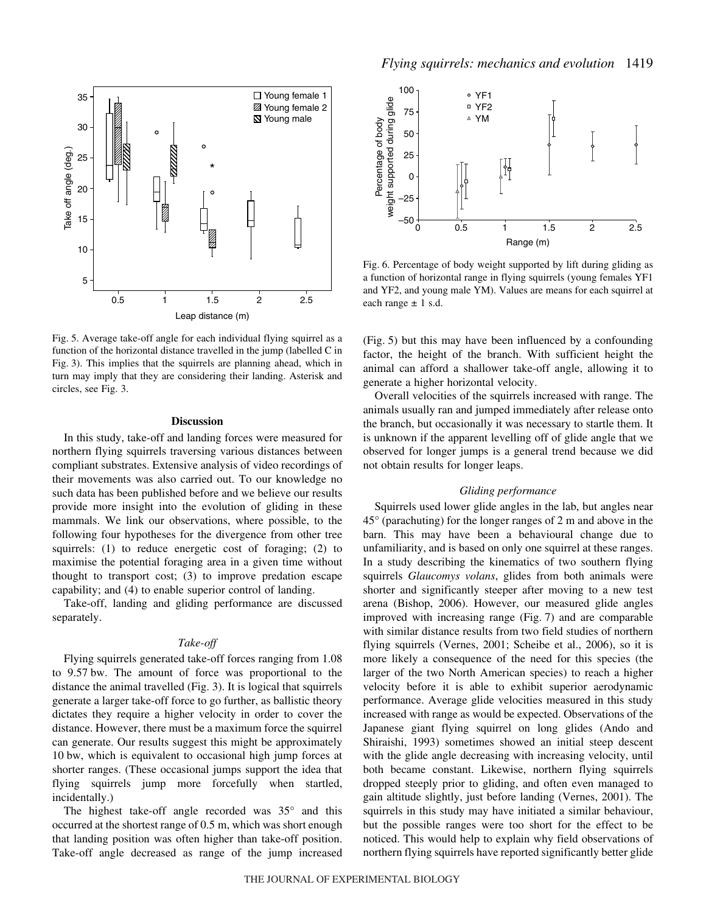

Fig. 5. Average take-off angle for each individual flying squirrel as a function of the horizontal distance travelled in the jump (labelled C in Fig. 3). This implies that the squirrels are planning ahead, which in turn may imply that they are considering their landing. Asterisk and circles, see Fig. 3.

#### **Discussion**

In this study, take-off and landing forces were measured for northern flying squirrels traversing various distances between compliant substrates. Extensive analysis of video recordings of their movements was also carried out. To our knowledge no such data has been published before and we believe our results provide more insight into the evolution of gliding in these mammals. We link our observations, where possible, to the following four hypotheses for the divergence from other tree squirrels: (1) to reduce energetic cost of foraging; (2) to maximise the potential foraging area in a given time without thought to transport cost; (3) to improve predation escape capability; and (4) to enable superior control of landing.

Take-off, landing and gliding performance are discussed separately.

#### *Take-off*

Flying squirrels generated take-off forces ranging from 1.08 to 9.57 bw. The amount of force was proportional to the distance the animal travelled (Fig. 3). It is logical that squirrels generate a larger take-off force to go further, as ballistic theory dictates they require a higher velocity in order to cover the distance. However, there must be a maximum force the squirrel can generate. Our results suggest this might be approximately 10 bw, which is equivalent to occasional high jump forces at shorter ranges. (These occasional jumps support the idea that flying squirrels jump more forcefully when startled, incidentally.)

The highest take-off angle recorded was 35° and this occurred at the shortest range of 0.5 m, which was short enough that landing position was often higher than take-off position. Take-off angle decreased as range of the jump increased



Fig. 6. Percentage of body weight supported by lift during gliding as a function of horizontal range in flying squirrels (young females YF1 and YF2, and young male YM). Values are means for each squirrel at each range  $\pm$  1 s.d.

 $(Fig. 5)$  but this may have been influenced by a confounding factor, the height of the branch. With sufficient height the animal can afford a shallower take-off angle, allowing it to generate a higher horizontal velocity.

Overall velocities of the squirrels increased with range. The animals usually ran and jumped immediately after release onto the branch, but occasionally it was necessary to startle them. It is unknown if the apparent levelling off of glide angle that we observed for longer jumps is a general trend because we did not obtain results for longer leaps.

### *Gliding performance*

Squirrels used lower glide angles in the lab, but angles near  $45^{\circ}$  (parachuting) for the longer ranges of 2 m and above in the barn. This may have been a behavioural change due to unfamiliarity, and is based on only one squirrel at these ranges. In a study describing the kinematics of two southern flying squirrels *Glaucomys volans*, glides from both animals were shorter and significantly steeper after moving to a new test arena (Bishop, 2006). However, our measured glide angles improved with increasing range  $(Fig. 7)$  and are comparable with similar distance results from two field studies of northern flying squirrels (Vernes, 2001; Scheibe et al., 2006), so it is more likely a consequence of the need for this species (the larger of the two North American species) to reach a higher velocity before it is able to exhibit superior aerodynamic performance. Average glide velocities measured in this study increased with range as would be expected. Observations of the Japanese giant flying squirrel on long glides (Ando and Shiraishi, 1993) sometimes showed an initial steep descent with the glide angle decreasing with increasing velocity, until both became constant. Likewise, northern flying squirrels dropped steeply prior to gliding, and often even managed to gain altitude slightly, just before landing (Vernes, 2001). The squirrels in this study may have initiated a similar behaviour, but the possible ranges were too short for the effect to be noticed. This would help to explain why field observations of northern flying squirrels have reported significantly better glide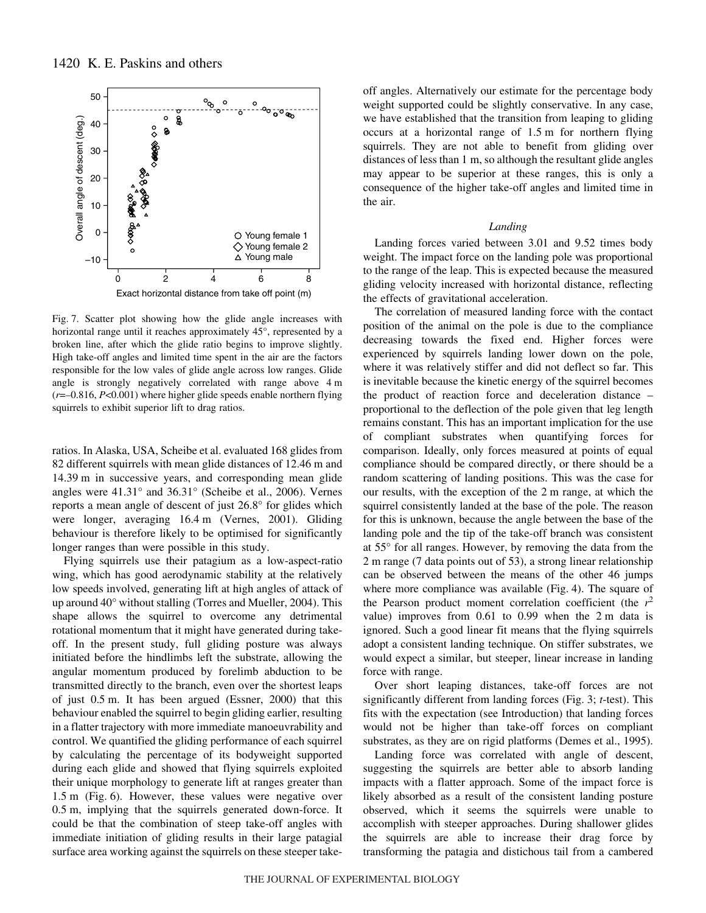

Fig. 7. Scatter plot showing how the glide angle increases with horizontal range until it reaches approximately 45°, represented by a broken line, after which the glide ratio begins to improve slightly. High take-off angles and limited time spent in the air are the factors responsible for the low vales of glide angle across low ranges. Glide angle is strongly negatively correlated with range above  $4 \text{ m}$ (*r*=–0.816, *P*<0.001) where higher glide speeds enable northern flying squirrels to exhibit superior lift to drag ratios.

ratios. In Alaska, USA, Scheibe et al. evaluated 168 glides from 82 different squirrels with mean glide distances of 12.46 m and 14.39 m in successive years, and corresponding mean glide angles were 41.31° and 36.31° (Scheibe et al., 2006). Vernes reports a mean angle of descent of just 26.8° for glides which were longer, averaging 16.4 m (Vernes, 2001). Gliding behaviour is therefore likely to be optimised for significantly longer ranges than were possible in this study.

Flying squirrels use their patagium as a low-aspect-ratio wing, which has good aerodynamic stability at the relatively low speeds involved, generating lift at high angles of attack of up around 40° without stalling (Torres and Mueller, 2004). This shape allows the squirrel to overcome any detrimental rotational momentum that it might have generated during takeoff. In the present study, full gliding posture was always initiated before the hindlimbs left the substrate, allowing the angular momentum produced by forelimb abduction to be transmitted directly to the branch, even over the shortest leaps of just  $0.5$  m. It has been argued (Essner, 2000) that this behaviour enabled the squirrel to begin gliding earlier, resulting in a flatter trajectory with more immediate manoeuvrability and control. We quantified the gliding performance of each squirrel by calculating the percentage of its bodyweight supported during each glide and showed that flying squirrels exploited their unique morphology to generate lift at ranges greater than 1.5 m (Fig. 6). However, these values were negative over 0.5 m, implying that the squirrels generated down-force. It could be that the combination of steep take-off angles with immediate initiation of gliding results in their large patagial surface area working against the squirrels on these steeper takeoff angles. Alternatively our estimate for the percentage body weight supported could be slightly conservative. In any case, we have established that the transition from leaping to gliding occurs at a horizontal range of  $1.5 \text{ m}$  for northern flying squirrels. They are not able to benefit from gliding over distances of less than  $1 \text{ m}$ , so although the resultant glide angles may appear to be superior at these ranges, this is only a consequence of the higher take-off angles and limited time in the air.

#### *Landing*

Landing forces varied between 3.01 and 9.52 times body weight. The impact force on the landing pole was proportional to the range of the leap. This is expected because the measured gliding velocity increased with horizontal distance, reflecting the effects of gravitational acceleration.

The correlation of measured landing force with the contact position of the animal on the pole is due to the compliance decreasing towards the fixed end. Higher forces were experienced by squirrels landing lower down on the pole, where it was relatively stiffer and did not deflect so far. This is inevitable because the kinetic energy of the squirrel becomes the product of reaction force and deceleration distance – proportional to the deflection of the pole given that leg length remains constant. This has an important implication for the use of compliant substrates when quantifying forces for comparison. Ideally, only forces measured at points of equal compliance should be compared directly, or there should be a random scattering of landing positions. This was the case for our results, with the exception of the 2 m range, at which the squirrel consistently landed at the base of the pole. The reason for this is unknown, because the angle between the base of the landing pole and the tip of the take-off branch was consistent at 55° for all ranges. However, by removing the data from the 2 m range (7 data points out of 53), a strong linear relationship can be observed between the means of the other 46 jumps where more compliance was available  $(Fig. 4)$ . The square of the Pearson product moment correlation coefficient (the  $r^2$ value) improves from  $0.61$  to  $0.99$  when the  $2 \text{ m}$  data is ignored. Such a good linear fit means that the flying squirrels adopt a consistent landing technique. On stiffer substrates, we would expect a similar, but steeper, linear increase in landing force with range.

Over short leaping distances, take-off forces are not significantly different from landing forces (Fig. 3; *t*-test). This fits with the expectation (see Introduction) that landing forces would not be higher than take-off forces on compliant substrates, as they are on rigid platforms (Demes et al., 1995).

Landing force was correlated with angle of descent, suggesting the squirrels are better able to absorb landing impacts with a flatter approach. Some of the impact force is likely absorbed as a result of the consistent landing posture observed, which it seems the squirrels were unable to accomplish with steeper approaches. During shallower glides the squirrels are able to increase their drag force by transforming the patagia and distichous tail from a cambered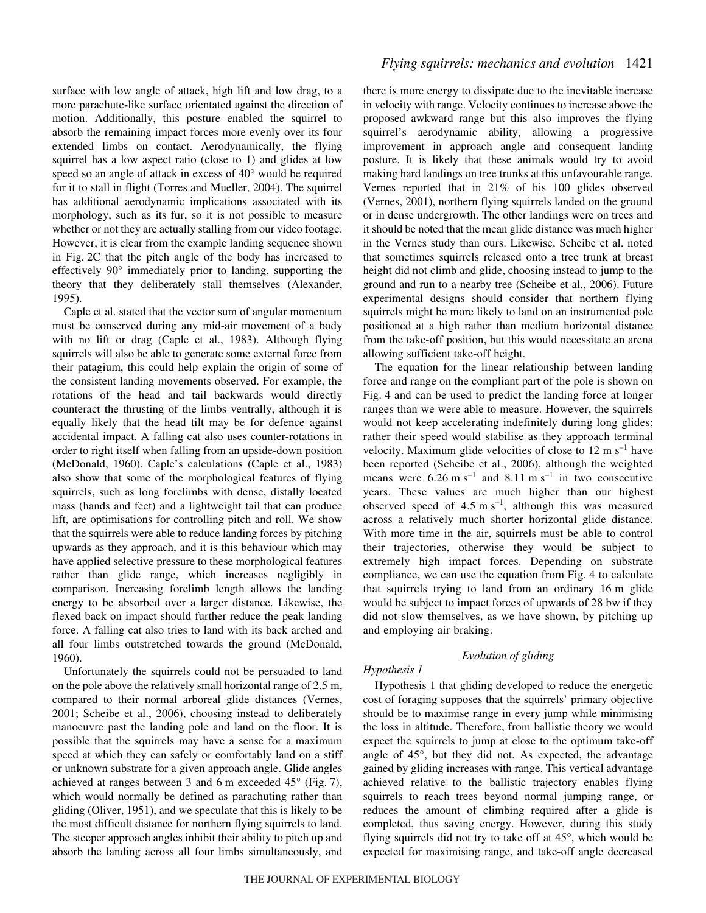surface with low angle of attack, high lift and low drag, to a more parachute-like surface orientated against the direction of motion. Additionally, this posture enabled the squirrel to absorb the remaining impact forces more evenly over its four extended limbs on contact. Aerodynamically, the flying squirrel has a low aspect ratio (close to 1) and glides at low speed so an angle of attack in excess of 40° would be required for it to stall in flight (Torres and Mueller, 2004). The squirrel has additional aerodynamic implications associated with its morphology, such as its fur, so it is not possible to measure whether or not they are actually stalling from our video footage. However, it is clear from the example landing sequence shown in Fig. 2C that the pitch angle of the body has increased to effectively 90° immediately prior to landing, supporting the theory that they deliberately stall themselves (Alexander, 1995).

Caple et al. stated that the vector sum of angular momentum must be conserved during any mid-air movement of a body with no lift or drag (Caple et al., 1983). Although flying squirrels will also be able to generate some external force from their patagium, this could help explain the origin of some of the consistent landing movements observed. For example, the rotations of the head and tail backwards would directly counteract the thrusting of the limbs ventrally, although it is equally likely that the head tilt may be for defence against accidental impact. A falling cat also uses counter-rotations in order to right itself when falling from an upside-down position (McDonald, 1960). Caple's calculations (Caple et al., 1983) also show that some of the morphological features of flying squirrels, such as long forelimbs with dense, distally located mass (hands and feet) and a lightweight tail that can produce lift, are optimisations for controlling pitch and roll. We show that the squirrels were able to reduce landing forces by pitching upwards as they approach, and it is this behaviour which may have applied selective pressure to these morphological features rather than glide range, which increases negligibly in comparison. Increasing forelimb length allows the landing energy to be absorbed over a larger distance. Likewise, the flexed back on impact should further reduce the peak landing force. A falling cat also tries to land with its back arched and all four limbs outstretched towards the ground (McDonald, 1960).

Unfortunately the squirrels could not be persuaded to land on the pole above the relatively small horizontal range of 2.5 m, compared to their normal arboreal glide distances (Vernes, 2001; Scheibe et al., 2006), choosing instead to deliberately manoeuvre past the landing pole and land on the floor. It is possible that the squirrels may have a sense for a maximum speed at which they can safely or comfortably land on a stiff or unknown substrate for a given approach angle. Glide angles achieved at ranges between 3 and 6 m exceeded  $45^{\circ}$  (Fig. 7), which would normally be defined as parachuting rather than gliding (Oliver, 1951), and we speculate that this is likely to be the most difficult distance for northern flying squirrels to land. The steeper approach angles inhibit their ability to pitch up and absorb the landing across all four limbs simultaneously, and there is more energy to dissipate due to the inevitable increase in velocity with range. Velocity continues to increase above the proposed awkward range but this also improves the flying squirrel's aerodynamic ability, allowing a progressive improvement in approach angle and consequent landing posture. It is likely that these animals would try to avoid making hard landings on tree trunks at this unfavourable range. Vernes reported that in 21% of his 100 glides observed (Vernes, 2001), northern flying squirrels landed on the ground or in dense undergrowth. The other landings were on trees and it should be noted that the mean glide distance was much higher in the Vernes study than ours. Likewise, Scheibe et al. noted that sometimes squirrels released onto a tree trunk at breast height did not climb and glide, choosing instead to jump to the ground and run to a nearby tree (Scheibe et al., 2006). Future experimental designs should consider that northern flying squirrels might be more likely to land on an instrumented pole positioned at a high rather than medium horizontal distance from the take-off position, but this would necessitate an arena allowing sufficient take-off height.

The equation for the linear relationship between landing force and range on the compliant part of the pole is shown on Fig. 4 and can be used to predict the landing force at longer ranges than we were able to measure. However, the squirrels would not keep accelerating indefinitely during long glides; rather their speed would stabilise as they approach terminal velocity. Maximum glide velocities of close to  $12 \text{ m s}^{-1}$  have been reported (Scheibe et al., 2006), although the weighted means were  $6.26 \text{ m s}^{-1}$  and  $8.11 \text{ m s}^{-1}$  in two consecutive years. These values are much higher than our highest observed speed of  $4.5~\text{m s}^{-1}$ , although this was measured across a relatively much shorter horizontal glide distance. With more time in the air, squirrels must be able to control their trajectories, otherwise they would be subject to extremely high impact forces. Depending on substrate compliance, we can use the equation from Fig. 4 to calculate that squirrels trying to land from an ordinary 16 m glide would be subject to impact forces of upwards of 28 bw if they did not slow themselves, as we have shown, by pitching up and employing air braking.

## *Evolution of gliding*

### *Hypothesis 1*

Hypothesis 1 that gliding developed to reduce the energetic cost of foraging supposes that the squirrels' primary objective should be to maximise range in every jump while minimising the loss in altitude. Therefore, from ballistic theory we would expect the squirrels to jump at close to the optimum take-off angle of 45°, but they did not. As expected, the advantage gained by gliding increases with range. This vertical advantage achieved relative to the ballistic trajectory enables flying squirrels to reach trees beyond normal jumping range, or reduces the amount of climbing required after a glide is completed, thus saving energy. However, during this study flying squirrels did not try to take off at 45°, which would be expected for maximising range, and take-off angle decreased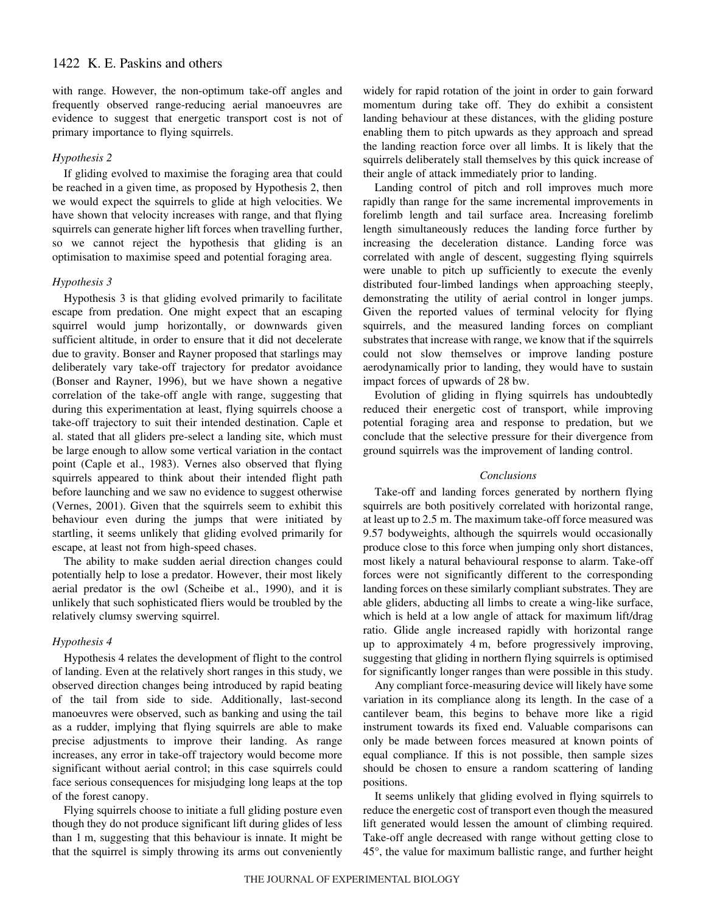with range. However, the non-optimum take-off angles and frequently observed range-reducing aerial manoeuvres are evidence to suggest that energetic transport cost is not of primary importance to flying squirrels.

## *Hypothesis 2*

If gliding evolved to maximise the foraging area that could be reached in a given time, as proposed by Hypothesis 2, then we would expect the squirrels to glide at high velocities. We have shown that velocity increases with range, and that flying squirrels can generate higher lift forces when travelling further, so we cannot reject the hypothesis that gliding is an optimisation to maximise speed and potential foraging area.

### *Hypothesis 3*

Hypothesis 3 is that gliding evolved primarily to facilitate escape from predation. One might expect that an escaping squirrel would jump horizontally, or downwards given sufficient altitude, in order to ensure that it did not decelerate due to gravity. Bonser and Rayner proposed that starlings may deliberately vary take-off trajectory for predator avoidance (Bonser and Rayner, 1996), but we have shown a negative correlation of the take-off angle with range, suggesting that during this experimentation at least, flying squirrels choose a take-off trajectory to suit their intended destination. Caple et al. stated that all gliders pre-select a landing site, which must be large enough to allow some vertical variation in the contact point (Caple et al., 1983). Vernes also observed that flying squirrels appeared to think about their intended flight path before launching and we saw no evidence to suggest otherwise (Vernes, 2001). Given that the squirrels seem to exhibit this behaviour even during the jumps that were initiated by startling, it seems unlikely that gliding evolved primarily for escape, at least not from high-speed chases.

The ability to make sudden aerial direction changes could potentially help to lose a predator. However, their most likely aerial predator is the owl (Scheibe et al., 1990), and it is unlikely that such sophisticated fliers would be troubled by the relatively clumsy swerving squirrel.

## *Hypothesis 4*

Hypothesis 4 relates the development of flight to the control of landing. Even at the relatively short ranges in this study, we observed direction changes being introduced by rapid beating of the tail from side to side. Additionally, last-second manoeuvres were observed, such as banking and using the tail as a rudder, implying that flying squirrels are able to make precise adjustments to improve their landing. As range increases, any error in take-off trajectory would become more significant without aerial control; in this case squirrels could face serious consequences for misjudging long leaps at the top of the forest canopy.

Flying squirrels choose to initiate a full gliding posture even though they do not produce significant lift during glides of less than  $1 \text{ m}$ , suggesting that this behaviour is innate. It might be that the squirrel is simply throwing its arms out conveniently widely for rapid rotation of the joint in order to gain forward momentum during take off. They do exhibit a consistent landing behaviour at these distances, with the gliding posture enabling them to pitch upwards as they approach and spread the landing reaction force over all limbs. It is likely that the squirrels deliberately stall themselves by this quick increase of their angle of attack immediately prior to landing.

Landing control of pitch and roll improves much more rapidly than range for the same incremental improvements in forelimb length and tail surface area. Increasing forelimb length simultaneously reduces the landing force further by increasing the deceleration distance. Landing force was correlated with angle of descent, suggesting flying squirrels were unable to pitch up sufficiently to execute the evenly distributed four-limbed landings when approaching steeply, demonstrating the utility of aerial control in longer jumps. Given the reported values of terminal velocity for flying squirrels, and the measured landing forces on compliant substrates that increase with range, we know that if the squirrels could not slow themselves or improve landing posture aerodynamically prior to landing, they would have to sustain impact forces of upwards of 28 bw.

Evolution of gliding in flying squirrels has undoubtedly reduced their energetic cost of transport, while improving potential foraging area and response to predation, but we conclude that the selective pressure for their divergence from ground squirrels was the improvement of landing control.

#### *Conclusions*

Take-off and landing forces generated by northern flying squirrels are both positively correlated with horizontal range, at least up to 2.5 m. The maximum take-off force measured was 9.57 bodyweights, although the squirrels would occasionally produce close to this force when jumping only short distances, most likely a natural behavioural response to alarm. Take-off forces were not significantly different to the corresponding landing forces on these similarly compliant substrates. They are able gliders, abducting all limbs to create a wing-like surface, which is held at a low angle of attack for maximum lift/drag ratio. Glide angle increased rapidly with horizontal range up to approximately  $4 \text{ m}$ , before progressively improving, suggesting that gliding in northern flying squirrels is optimised for significantly longer ranges than were possible in this study.

Any compliant force-measuring device will likely have some variation in its compliance along its length. In the case of a cantilever beam, this begins to behave more like a rigid instrument towards its fixed end. Valuable comparisons can only be made between forces measured at known points of equal compliance. If this is not possible, then sample sizes should be chosen to ensure a random scattering of landing positions.

It seems unlikely that gliding evolved in flying squirrels to reduce the energetic cost of transport even though the measured lift generated would lessen the amount of climbing required. Take-off angle decreased with range without getting close to 45°, the value for maximum ballistic range, and further height